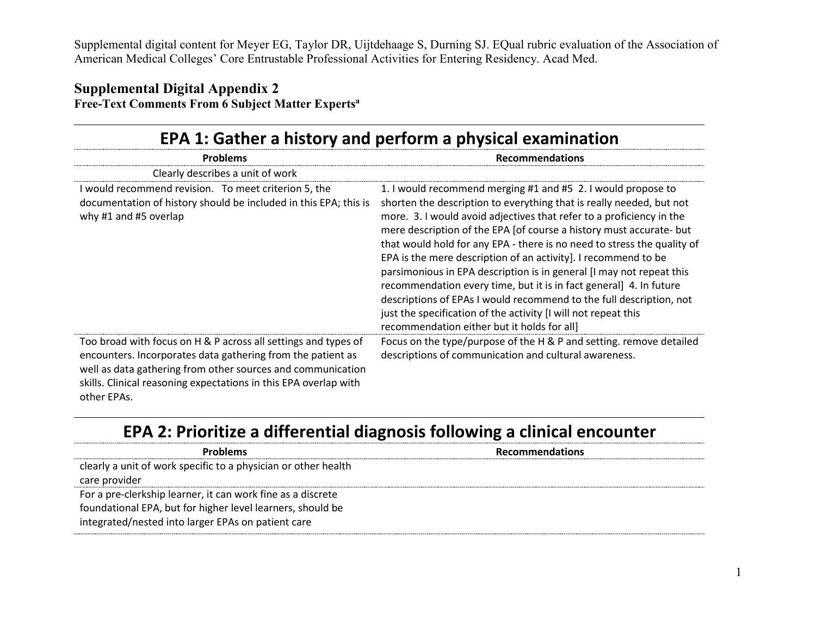#### **Supplemental Digital Appendix 2 Free-Text Comments From 6 Subject Matter Expertsa**

| <b>The community of the and and a set of the community of the community of the community of the community of the community of the community of the community of the community of the community of the community of the community</b>                                            |                                                                                                                                                                                                                                                                                                                                                                                                                                                                                                                                                                                                                                                                                                                                                                        |
|---------------------------------------------------------------------------------------------------------------------------------------------------------------------------------------------------------------------------------------------------------------------------------|------------------------------------------------------------------------------------------------------------------------------------------------------------------------------------------------------------------------------------------------------------------------------------------------------------------------------------------------------------------------------------------------------------------------------------------------------------------------------------------------------------------------------------------------------------------------------------------------------------------------------------------------------------------------------------------------------------------------------------------------------------------------|
| <b>Problems</b>                                                                                                                                                                                                                                                                 | <b>Recommendations</b>                                                                                                                                                                                                                                                                                                                                                                                                                                                                                                                                                                                                                                                                                                                                                 |
| Clearly describes a unit of work                                                                                                                                                                                                                                                |                                                                                                                                                                                                                                                                                                                                                                                                                                                                                                                                                                                                                                                                                                                                                                        |
| I would recommend revision. To meet criterion 5, the<br>documentation of history should be included in this EPA; this is<br>why #1 and #5 overlap                                                                                                                               | 1. I would recommend merging #1 and #5 2. I would propose to<br>shorten the description to everything that is really needed, but not<br>more. 3. I would avoid adjectives that refer to a proficiency in the<br>mere description of the EPA [of course a history must accurate- but<br>that would hold for any EPA - there is no need to stress the quality of<br>EPA is the mere description of an activity]. I recommend to be<br>parsimonious in EPA description is in general [I may not repeat this<br>recommendation every time, but it is in fact general] 4. In future<br>descriptions of EPAs I would recommend to the full description, not<br>just the specification of the activity [I will not repeat this<br>recommendation either but it holds for all] |
| Too broad with focus on H & P across all settings and types of<br>encounters. Incorporates data gathering from the patient as<br>well as data gathering from other sources and communication<br>skills. Clinical reasoning expectations in this EPA overlap with<br>other EPAs. | Focus on the type/purpose of the H & P and setting. remove detailed<br>descriptions of communication and cultural awareness.                                                                                                                                                                                                                                                                                                                                                                                                                                                                                                                                                                                                                                           |

### **EPA 1: Gather a history and perform a physical examination**

# **EPA 2: Prioritize a differential diagnosis following a clinical encounter**

| <b>Problems</b>                                                | <b>Recommendations</b> |
|----------------------------------------------------------------|------------------------|
| clearly a unit of work specific to a physician or other health |                        |
| care provider                                                  |                        |
| For a pre-clerkship learner, it can work fine as a discrete    |                        |
| foundational EPA, but for higher level learners, should be     |                        |
| integrated/nested into larger EPAs on patient care             |                        |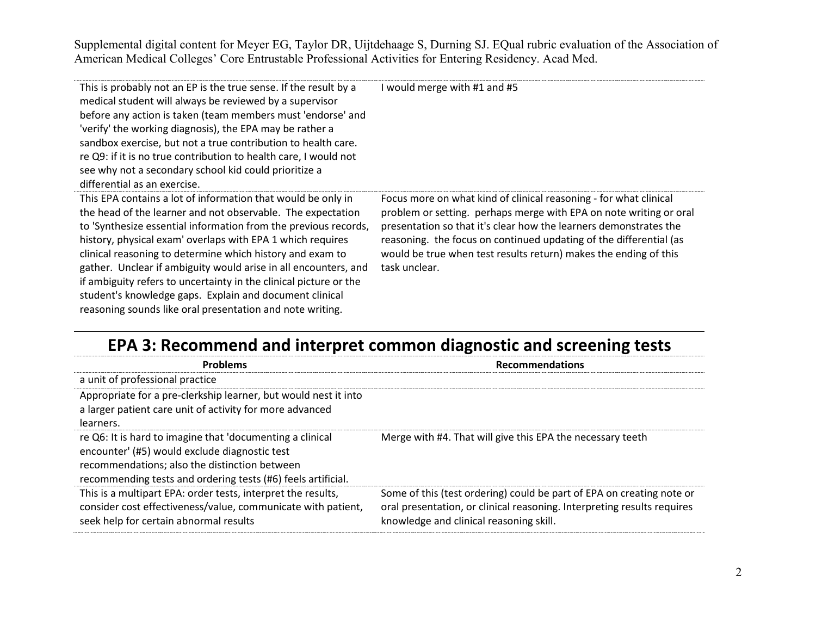| This is probably not an EP is the true sense. If the result by a<br>medical student will always be reviewed by a supervisor<br>before any action is taken (team members must 'endorse' and<br>'verify' the working diagnosis), the EPA may be rather a<br>sandbox exercise, but not a true contribution to health care.<br>re Q9: if it is no true contribution to health care, I would not<br>see why not a secondary school kid could prioritize a<br>differential as an exercise.                                                                                                      | I would merge with #1 and #5                                                                                                                                                                                                                                                                                                                                            |
|-------------------------------------------------------------------------------------------------------------------------------------------------------------------------------------------------------------------------------------------------------------------------------------------------------------------------------------------------------------------------------------------------------------------------------------------------------------------------------------------------------------------------------------------------------------------------------------------|-------------------------------------------------------------------------------------------------------------------------------------------------------------------------------------------------------------------------------------------------------------------------------------------------------------------------------------------------------------------------|
| This EPA contains a lot of information that would be only in<br>the head of the learner and not observable. The expectation<br>to 'Synthesize essential information from the previous records,<br>history, physical exam' overlaps with EPA 1 which requires<br>clinical reasoning to determine which history and exam to<br>gather. Unclear if ambiguity would arise in all encounters, and<br>if ambiguity refers to uncertainty in the clinical picture or the<br>student's knowledge gaps. Explain and document clinical<br>reasoning sounds like oral presentation and note writing. | Focus more on what kind of clinical reasoning - for what clinical<br>problem or setting. perhaps merge with EPA on note writing or oral<br>presentation so that it's clear how the learners demonstrates the<br>reasoning. the focus on continued updating of the differential (as<br>would be true when test results return) makes the ending of this<br>task unclear. |

# **EPA 3: Recommend and interpret common diagnostic and screening tests**

| Problems                                                                                                                                                                                                                    | <b>Recommendations</b>                                                                                                                                                                      |
|-----------------------------------------------------------------------------------------------------------------------------------------------------------------------------------------------------------------------------|---------------------------------------------------------------------------------------------------------------------------------------------------------------------------------------------|
| a unit of professional practice                                                                                                                                                                                             |                                                                                                                                                                                             |
| Appropriate for a pre-clerkship learner, but would nest it into<br>a larger patient care unit of activity for more advanced<br>learners.                                                                                    |                                                                                                                                                                                             |
| re Q6: It is hard to imagine that 'documenting a clinical<br>encounter' (#5) would exclude diagnostic test<br>recommendations; also the distinction between<br>recommending tests and ordering tests (#6) feels artificial. | Merge with #4. That will give this EPA the necessary teeth                                                                                                                                  |
| This is a multipart EPA: order tests, interpret the results,<br>consider cost effectiveness/value, communicate with patient,<br>seek help for certain abnormal results                                                      | Some of this (test ordering) could be part of EPA on creating note or<br>oral presentation, or clinical reasoning. Interpreting results requires<br>knowledge and clinical reasoning skill. |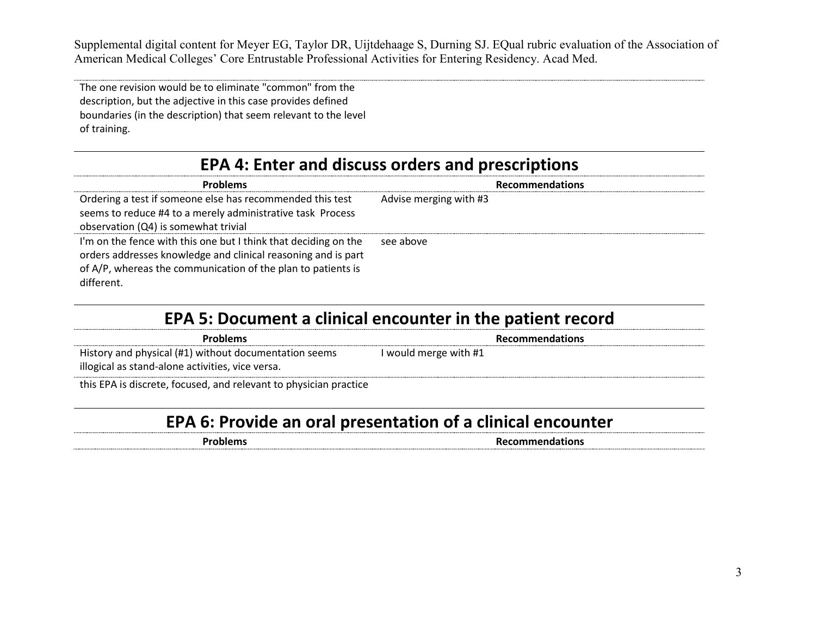The one revision would be to eliminate "common" from the description, but the adjective in this case provides defined boundaries (in the description) that seem relevant to the level of training.

## **EPA 4: Enter and discuss orders and prescriptions**

| <b>Problems</b>                                                 | <b>Recommendations</b> |
|-----------------------------------------------------------------|------------------------|
| Ordering a test if someone else has recommended this test       | Advise merging with #3 |
| seems to reduce #4 to a merely administrative task Process      |                        |
| observation (Q4) is somewhat trivial                            |                        |
| I'm on the fence with this one but I think that deciding on the | see above              |
| orders addresses knowledge and clinical reasoning and is part   |                        |
| of A/P, whereas the communication of the plan to patients is    |                        |
| different.                                                      |                        |

#### **EPA 5: Document a clinical encounter in the patient record**

| <b>Problems</b>                                                                                           | <b>Recommendations</b> |
|-----------------------------------------------------------------------------------------------------------|------------------------|
| History and physical (#1) without documentation seems<br>illogical as stand-alone activities, vice versa. | I would merge with #1  |
|                                                                                                           |                        |

this EPA is discrete, focused, and relevant to physician practice

# **EPA 6: Provide an oral presentation of a clinical encounter**

**Problems Recommendations**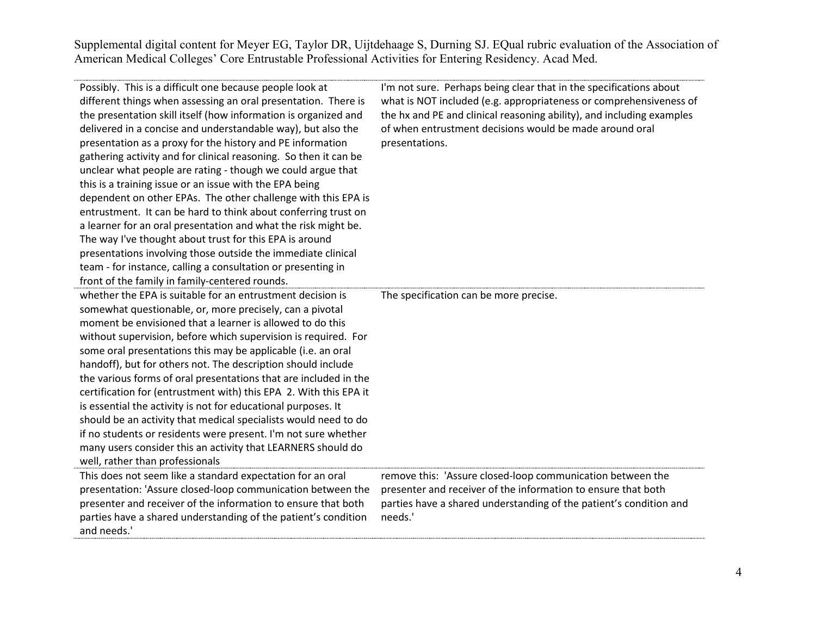| Possibly. This is a difficult one because people look at<br>different things when assessing an oral presentation. There is<br>the presentation skill itself (how information is organized and<br>delivered in a concise and understandable way), but also the<br>presentation as a proxy for the history and PE information<br>gathering activity and for clinical reasoning. So then it can be<br>unclear what people are rating - though we could argue that<br>this is a training issue or an issue with the EPA being<br>dependent on other EPAs. The other challenge with this EPA is<br>entrustment. It can be hard to think about conferring trust on<br>a learner for an oral presentation and what the risk might be.<br>The way I've thought about trust for this EPA is around<br>presentations involving those outside the immediate clinical<br>team - for instance, calling a consultation or presenting in<br>front of the family in family-centered rounds. | I'm not sure. Perhaps being clear that in the specifications about<br>what is NOT included (e.g. appropriateness or comprehensiveness of<br>the hx and PE and clinical reasoning ability), and including examples<br>of when entrustment decisions would be made around oral<br>presentations. |
|-----------------------------------------------------------------------------------------------------------------------------------------------------------------------------------------------------------------------------------------------------------------------------------------------------------------------------------------------------------------------------------------------------------------------------------------------------------------------------------------------------------------------------------------------------------------------------------------------------------------------------------------------------------------------------------------------------------------------------------------------------------------------------------------------------------------------------------------------------------------------------------------------------------------------------------------------------------------------------|------------------------------------------------------------------------------------------------------------------------------------------------------------------------------------------------------------------------------------------------------------------------------------------------|
| whether the EPA is suitable for an entrustment decision is<br>somewhat questionable, or, more precisely, can a pivotal<br>moment be envisioned that a learner is allowed to do this<br>without supervision, before which supervision is required. For<br>some oral presentations this may be applicable (i.e. an oral<br>handoff), but for others not. The description should include<br>the various forms of oral presentations that are included in the<br>certification for (entrustment with) this EPA 2. With this EPA it<br>is essential the activity is not for educational purposes. It<br>should be an activity that medical specialists would need to do<br>if no students or residents were present. I'm not sure whether<br>many users consider this an activity that LEARNERS should do<br>well, rather than professionals                                                                                                                                     | The specification can be more precise.                                                                                                                                                                                                                                                         |
| This does not seem like a standard expectation for an oral<br>presentation: 'Assure closed-loop communication between the<br>presenter and receiver of the information to ensure that both<br>parties have a shared understanding of the patient's condition<br>and needs.'                                                                                                                                                                                                                                                                                                                                                                                                                                                                                                                                                                                                                                                                                                 | remove this: 'Assure closed-loop communication between the<br>presenter and receiver of the information to ensure that both<br>parties have a shared understanding of the patient's condition and<br>needs.'                                                                                   |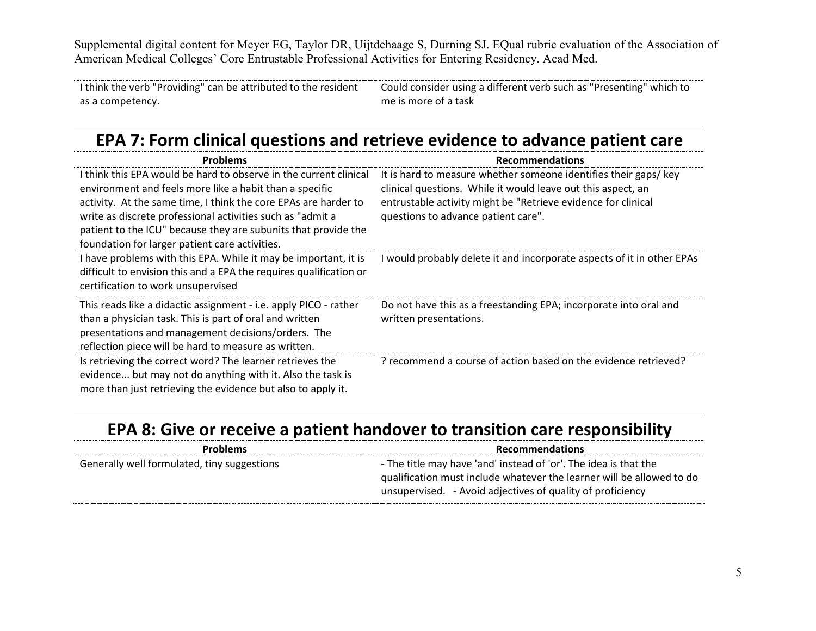I think the verb "Providing" can be attributed to the resident as a competency. Could consider using a different verb such as "Presenting" which to me is more of a task

#### **EPA 7: Form clinical questions and retrieve evidence to advance patient care**

| <b>Problems</b>                                                                                                                                                                                                                                                                                                                                                                   | <b>Recommendations</b>                                                                                                                                                                                                                  |
|-----------------------------------------------------------------------------------------------------------------------------------------------------------------------------------------------------------------------------------------------------------------------------------------------------------------------------------------------------------------------------------|-----------------------------------------------------------------------------------------------------------------------------------------------------------------------------------------------------------------------------------------|
| I think this EPA would be hard to observe in the current clinical<br>environment and feels more like a habit than a specific<br>activity. At the same time, I think the core EPAs are harder to<br>write as discrete professional activities such as "admit a<br>patient to the ICU" because they are subunits that provide the<br>foundation for larger patient care activities. | It is hard to measure whether someone identifies their gaps/key<br>clinical questions. While it would leave out this aspect, an<br>entrustable activity might be "Retrieve evidence for clinical<br>questions to advance patient care". |
| I have problems with this EPA. While it may be important, it is<br>difficult to envision this and a EPA the requires qualification or<br>certification to work unsupervised                                                                                                                                                                                                       | would probably delete it and incorporate aspects of it in other EPAs                                                                                                                                                                    |
| This reads like a didactic assignment - i.e. apply PICO - rather<br>than a physician task. This is part of oral and written<br>presentations and management decisions/orders. The<br>reflection piece will be hard to measure as written.                                                                                                                                         | Do not have this as a freestanding EPA; incorporate into oral and<br>written presentations.                                                                                                                                             |
| Is retrieving the correct word? The learner retrieves the<br>evidence but may not do anything with it. Also the task is<br>more than just retrieving the evidence but also to apply it.                                                                                                                                                                                           | ? recommend a course of action based on the evidence retrieved?                                                                                                                                                                         |

### **EPA 8: Give or receive a patient handover to transition care responsibility**

| <b>Problems</b>                             | <b>Recommendations</b>                                                |
|---------------------------------------------|-----------------------------------------------------------------------|
| Generally well formulated, tiny suggestions | - The title may have 'and' instead of 'or'. The idea is that the      |
|                                             | qualification must include whatever the learner will be allowed to do |
|                                             | unsupervised. - Avoid adjectives of quality of proficiency            |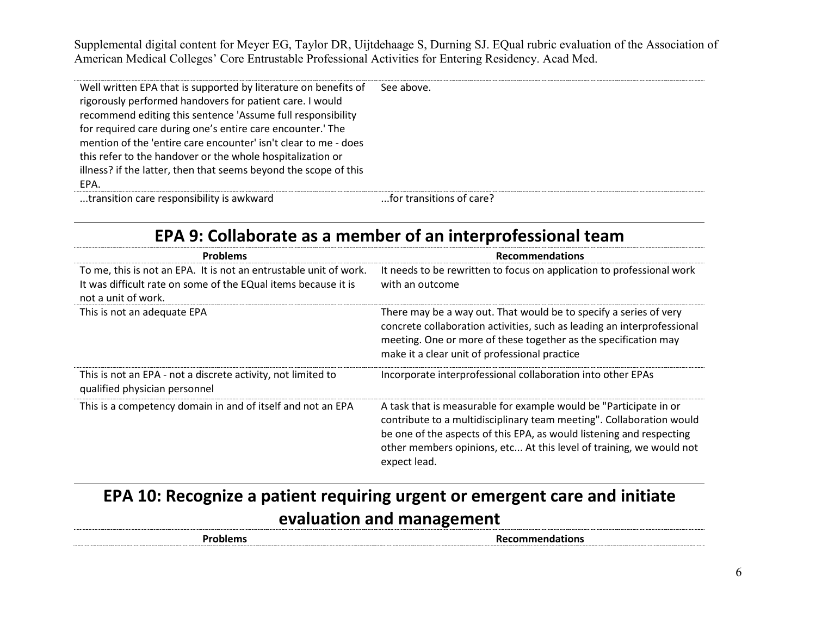| Well written EPA that is supported by literature on benefits of<br>rigorously performed handovers for patient care. I would<br>recommend editing this sentence 'Assume full responsibility<br>for required care during one's entire care encounter.' The<br>mention of the 'entire care encounter' isn't clear to me - does<br>this refer to the handover or the whole hospitalization or<br>illness? if the latter, then that seems beyond the scope of this<br>EPA. | See above.               |
|-----------------------------------------------------------------------------------------------------------------------------------------------------------------------------------------------------------------------------------------------------------------------------------------------------------------------------------------------------------------------------------------------------------------------------------------------------------------------|--------------------------|
| trancition care recononcibility is awkward                                                                                                                                                                                                                                                                                                                                                                                                                            | for transitions of care? |

...transition care responsibility is awkward ...for transitions of care?

### **EPA 9: Collaborate as a member of an interprofessional team**

| <b>Problems</b>                                                                                                                                            | <b>Recommendations</b>                                                                                                                                                                                                                                                                                   |
|------------------------------------------------------------------------------------------------------------------------------------------------------------|----------------------------------------------------------------------------------------------------------------------------------------------------------------------------------------------------------------------------------------------------------------------------------------------------------|
| To me, this is not an EPA. It is not an entrustable unit of work.<br>It was difficult rate on some of the EQual items because it is<br>not a unit of work. | It needs to be rewritten to focus on application to professional work<br>with an outcome                                                                                                                                                                                                                 |
| This is not an adequate EPA                                                                                                                                | There may be a way out. That would be to specify a series of very<br>concrete collaboration activities, such as leading an interprofessional<br>meeting. One or more of these together as the specification may<br>make it a clear unit of professional practice                                         |
| This is not an EPA - not a discrete activity, not limited to<br>qualified physician personnel                                                              | Incorporate interprofessional collaboration into other EPAs                                                                                                                                                                                                                                              |
| This is a competency domain in and of itself and not an EPA                                                                                                | A task that is measurable for example would be "Participate in or<br>contribute to a multidisciplinary team meeting". Collaboration would<br>be one of the aspects of this EPA, as would listening and respecting<br>other members opinions, etc At this level of training, we would not<br>expect lead. |

# **EPA 10: Recognize a patient requiring urgent or emergent care and initiate evaluation and management**

**Recommendations**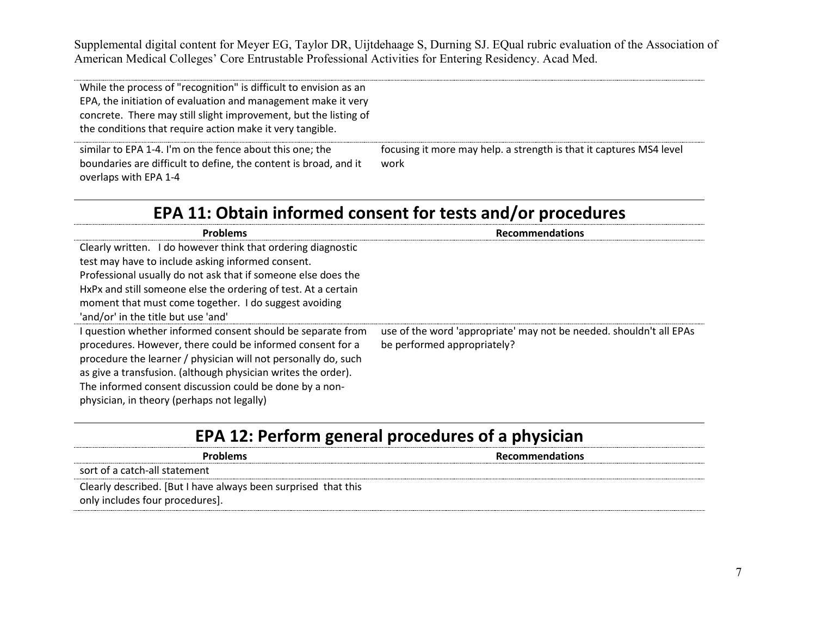While the process of "recognition" is difficult to envision as an EPA, the initiation of evaluation and management make it very concrete. There may still slight improvement, but the listing of the conditions that require action make it very tangible. similar to EPA 1-4. I'm on the fence about this one; the boundaries are difficult to define, the content is broad, and it overlaps with EPA 1-4 focusing it more may help. a strength is that it captures MS4 level work

#### **EPA 11: Obtain informed consent for tests and/or procedures**

| Problems                                                                                                                                                                                                                                                     | <b>Recommendations</b>                                                                             |
|--------------------------------------------------------------------------------------------------------------------------------------------------------------------------------------------------------------------------------------------------------------|----------------------------------------------------------------------------------------------------|
| Clearly written. I do however think that ordering diagnostic                                                                                                                                                                                                 |                                                                                                    |
| test may have to include asking informed consent.                                                                                                                                                                                                            |                                                                                                    |
| Professional usually do not ask that if someone else does the                                                                                                                                                                                                |                                                                                                    |
| HxPx and still someone else the ordering of test. At a certain                                                                                                                                                                                               |                                                                                                    |
| moment that must come together. I do suggest avoiding                                                                                                                                                                                                        |                                                                                                    |
| 'and/or' in the title but use 'and'                                                                                                                                                                                                                          |                                                                                                    |
| I question whether informed consent should be separate from<br>procedures. However, there could be informed consent for a<br>procedure the learner / physician will not personally do, such<br>as give a transfusion. (although physician writes the order). | use of the word 'appropriate' may not be needed. shouldn't all EPAs<br>be performed appropriately? |
| The informed consent discussion could be done by a non-                                                                                                                                                                                                      |                                                                                                    |
| physician, in theory (perhaps not legally)                                                                                                                                                                                                                   |                                                                                                    |

# **EPA 12: Perform general procedures of a physician**

| <b>Problems</b>                                                | <b>Recommendations</b> |
|----------------------------------------------------------------|------------------------|
| sort of a catch-all statement                                  |                        |
| Clearly described. [But I have always been surprised that this |                        |
| only includes four procedures].                                |                        |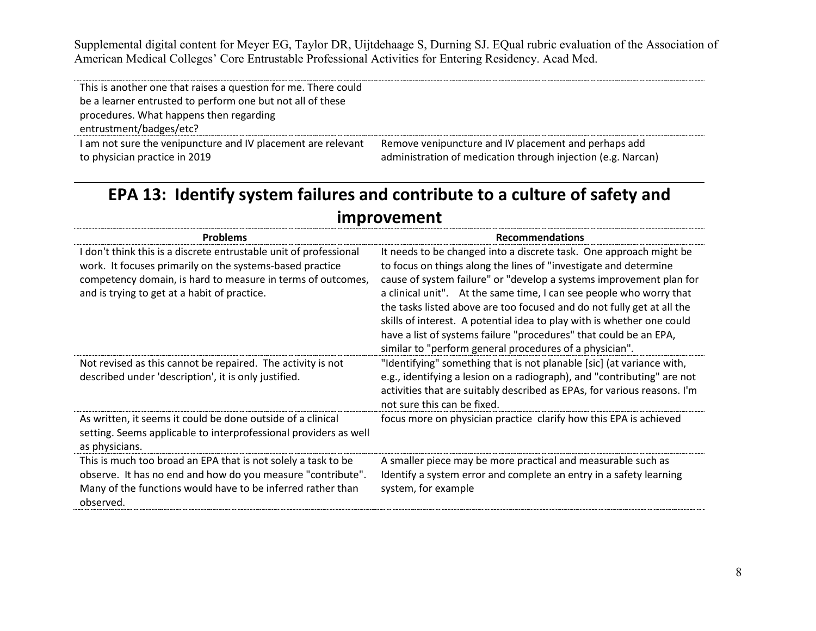| This is another one that raises a question for me. There could |                                                              |
|----------------------------------------------------------------|--------------------------------------------------------------|
| be a learner entrusted to perform one but not all of these     |                                                              |
| procedures. What happens then regarding                        |                                                              |
| entrustment/badges/etc?                                        |                                                              |
| I am not sure the venipuncture and IV placement are relevant   | Remove venipuncture and IV placement and perhaps add         |
| to physician practice in 2019                                  | administration of medication through injection (e.g. Narcan) |

# **EPA 13: Identify system failures and contribute to a culture of safety and improvement**

| <b>Problems</b>                                                                                                                                                                                                                              | <b>Recommendations</b>                                                                                                                                                                                                                                                                                                                                                                                                                                                                                                                                                   |
|----------------------------------------------------------------------------------------------------------------------------------------------------------------------------------------------------------------------------------------------|--------------------------------------------------------------------------------------------------------------------------------------------------------------------------------------------------------------------------------------------------------------------------------------------------------------------------------------------------------------------------------------------------------------------------------------------------------------------------------------------------------------------------------------------------------------------------|
| I don't think this is a discrete entrustable unit of professional<br>work. It focuses primarily on the systems-based practice<br>competency domain, is hard to measure in terms of outcomes,<br>and is trying to get at a habit of practice. | It needs to be changed into a discrete task. One approach might be<br>to focus on things along the lines of "investigate and determine<br>cause of system failure" or "develop a systems improvement plan for<br>a clinical unit". At the same time, I can see people who worry that<br>the tasks listed above are too focused and do not fully get at all the<br>skills of interest. A potential idea to play with is whether one could<br>have a list of systems failure "procedures" that could be an EPA,<br>similar to "perform general procedures of a physician". |
| Not revised as this cannot be repaired. The activity is not<br>described under 'description', it is only justified.                                                                                                                          | "Identifying" something that is not planable [sic] (at variance with,<br>e.g., identifying a lesion on a radiograph), and "contributing" are not<br>activities that are suitably described as EPAs, for various reasons. I'm<br>not sure this can be fixed.                                                                                                                                                                                                                                                                                                              |
| As written, it seems it could be done outside of a clinical<br>setting. Seems applicable to interprofessional providers as well<br>as physicians.                                                                                            | focus more on physician practice clarify how this EPA is achieved                                                                                                                                                                                                                                                                                                                                                                                                                                                                                                        |
| This is much too broad an EPA that is not solely a task to be<br>observe. It has no end and how do you measure "contribute".<br>Many of the functions would have to be inferred rather than<br>observed.                                     | A smaller piece may be more practical and measurable such as<br>Identify a system error and complete an entry in a safety learning<br>system, for example                                                                                                                                                                                                                                                                                                                                                                                                                |